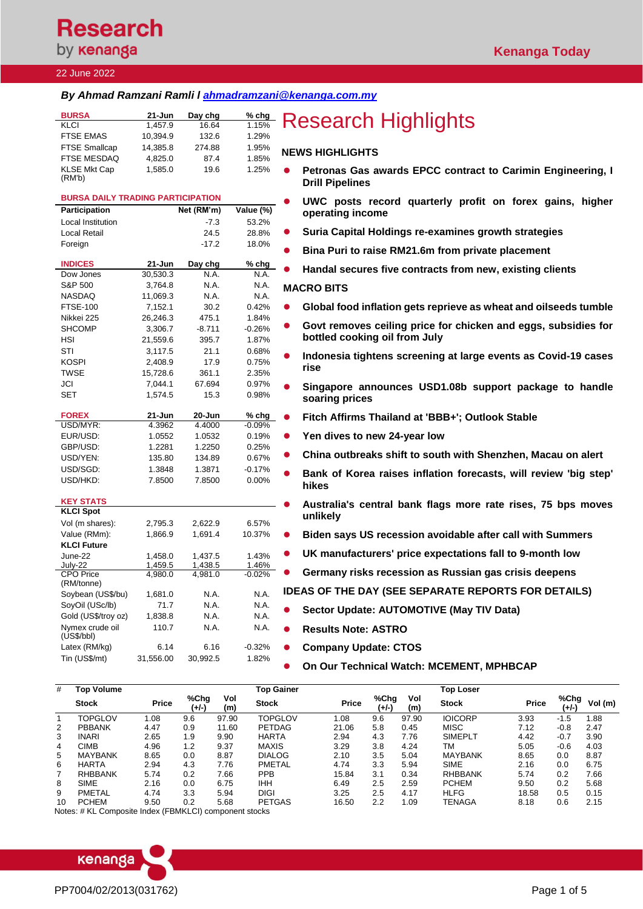# **Research** by **kenanga**

### 22 June 2022

### *By Ahmad Ramzani Ramli l [ahmadramzani@kenanga.com.my](mailto:tehky@kenanga.com.my)*

| <b>BURSA</b>         | $21 - Jun$ | Day chg | $%$ chg |           |
|----------------------|------------|---------|---------|-----------|
| KLCI                 | 1.457.9    | 16.64   | 1.15%   | R         |
| <b>FTSE EMAS</b>     | 10.394.9   | 132.6   | 1.29%   |           |
| <b>FTSE Smallcap</b> | 14.385.8   | 274.88  | 1.95%   | <b>NE</b> |
| <b>FTSE MESDAQ</b>   | 4.825.0    | 87.4    | 1.85%   |           |
| <b>KLSE Mkt Cap</b>  | 1.585.0    | 19.6    | 1.25%   | $\bullet$ |
| (RM'b)               |            |         |         |           |

| <b>BURSA DAILY TRADING PARTICIPATION</b> |                    |                    |                   |  |  |
|------------------------------------------|--------------------|--------------------|-------------------|--|--|
| Participation                            |                    | Net (RM'm)         | Value (%)         |  |  |
| <b>Local Institution</b>                 |                    | $-7.3$             | 53.2%             |  |  |
| Local Retail                             |                    | 24.5               | 28.8%             |  |  |
| Foreign                                  |                    | $-17.2$            | 18.0%             |  |  |
|                                          |                    |                    |                   |  |  |
| <b>INDICES</b>                           | 21-Jun             | Day chg            | % chg             |  |  |
| Dow Jones                                | 30,530.3           | N.A.               | N.A.              |  |  |
| S&P 500                                  | 3,764.8            | N.A.               | N.A.              |  |  |
| <b>NASDAQ</b>                            | 11,069.3           | N.A.               | N.A.              |  |  |
| <b>FTSE-100</b>                          | 7,152.1            | 30.2               | 0.42%             |  |  |
| Nikkei 225                               | 26,246.3           | 475.1              | 1.84%             |  |  |
| <b>SHCOMP</b>                            | 3,306.7            | $-8.711$           | $-0.26%$          |  |  |
| HSI                                      | 21,559.6           | 395.7              | 1.87%             |  |  |
| STI                                      | 3,117.5            | 21.1               | 0.68%             |  |  |
| <b>KOSPI</b>                             | 2,408.9            | 17.9               | 0.75%             |  |  |
| <b>TWSE</b>                              | 15,728.6           | 361.1              | 2.35%             |  |  |
| JCI                                      | 7,044.1            | 67.694             | 0.97%             |  |  |
| <b>SET</b>                               | 1,574.5            | 15.3               | 0.98%             |  |  |
|                                          |                    |                    |                   |  |  |
| <b>FOREX</b>                             | 21-Jun             | 20-Jun             | % chg             |  |  |
| USD/MYR:                                 | 4.3962             | 4.4000             | $-0.09%$          |  |  |
| EUR/USD:                                 | 1.0552             | 1.0532             | 0.19%             |  |  |
| GBP/USD:                                 | 1.2281             | 1.2250             | 0.25%             |  |  |
| USD/YEN:                                 | 135.80             | 134.89             | 0.67%             |  |  |
| USD/SGD:                                 | 1.3848             | 1.3871             | $-0.17%$          |  |  |
| USD/HKD:                                 | 7.8500             | 7.8500             | $0.00\%$          |  |  |
|                                          |                    |                    |                   |  |  |
| <b>KEY STATS</b>                         |                    |                    |                   |  |  |
| <b>KLCI Spot</b>                         |                    |                    |                   |  |  |
| Vol (m shares):                          | 2,795.3            | 2,622.9            | 6.57%             |  |  |
| Value (RMm):                             | 1,866.9            | 1.691.4            | 10.37%            |  |  |
| <b>KLCI Future</b>                       |                    |                    |                   |  |  |
| June-22                                  | 1,458.0            | 1,437.5            | 1.43%             |  |  |
| July-22<br><b>CPO Price</b>              | 1,459.5<br>4,980.0 | 1,438.5<br>4,981.0 | 1.46%<br>$-0.02%$ |  |  |
| (RM/tonne)                               |                    |                    |                   |  |  |
| Soybean (US\$/bu)                        | 1,681.0            | N.A.               | N.A.              |  |  |
| SoyOil (USc/lb)                          | 71.7               | N.A.               | N.A.              |  |  |
| Gold (US\$/troy oz)                      | 1,838.8            | N.A.               | N.A.              |  |  |
| Nymex crude oil                          | 110.7              | N.A.               | N.A.              |  |  |
| (US\$/bbI)                               |                    |                    |                   |  |  |
| Latex (RM/kg)                            | 6.14               | 6.16               | $-0.32%$          |  |  |
| Tin (US\$/mt)                            | 31,556.00          | 30,992.5           | 1.82%             |  |  |

# **esearch Highlights**

### **NEWS HIGHLIGHTS**

- ⚫ **Petronas Gas awards EPCC contract to Carimin Engineering, I Drill Pipelines**
- ⚫ **UWC posts record quarterly profit on forex gains, higher operating income**
- ⚫ **Suria Capital Holdings re-examines growth strategies**
- ⚫ **Bina Puri to raise RM21.6m from private placement**
- ⚫ **Handal secures five contracts from new, existing clients**

### **MACRO BITS**

- ⚫ **[Global food inflation gets reprieve as wheat and oilseeds tumble](https://www.theedgemarkets.com/article/global-food-inflation-gets-reprieve-wheat-palm-oil-tumble)**
- Govt removes ceiling price for chicken and eggs, subsidies for **[bottled cooking oil from July](https://www.theedgemarkets.com/article/malaysia-scrap-subsidies-some-cooking-oil-products)**
- ⚫ **[Indonesia tightens screening at large events as Covid-19 cases](https://www.theedgemarkets.com/article/indonesia-tightens-screening-large-events-covid19-cases-rise)  [rise](https://www.theedgemarkets.com/article/indonesia-tightens-screening-large-events-covid19-cases-rise)**
- ⚫ **[Singapore announces USD1.08b support package to handle](https://www.reuters.com/markets/asia/singapore-provide-1-billion-support-package-low-income-groups-2022-06-21/)  [soaring prices](https://www.reuters.com/markets/asia/singapore-provide-1-billion-support-package-low-income-groups-2022-06-21/)**
- ⚫ **[Fitch Affirms Thailand at 'BBB+'; Outlook Stable](https://www.fitchratings.com/research/sovereigns/fitch-affirms-thailand-at-bbb-outlook-stable-21-06-2022)**
- ⚫ **[Yen dives to new 24-year low](https://www.reuters.com/markets/us/aussie-dlr-edges-up-rba-reaffirms-more-hikes-ahead-yen-struggles-2022-06-21/)**
- ⚫ **[China outbreaks shift to south with Shenzhen, Macau on alert](https://www.theedgemarkets.com/article/china-outbreaks-shift-south-shenzhen-macau-alert)**
- ⚫ **[Bank of Korea raises inflation forecasts, will review 'big step'](https://www.reuters.com/article/southkorea-cenbank-inflation/bank-of-korea-raises-inflation-forecasts-will-review-big-step-hikes-idUSKBN2O200S)  [hikes](https://www.reuters.com/article/southkorea-cenbank-inflation/bank-of-korea-raises-inflation-forecasts-will-review-big-step-hikes-idUSKBN2O200S)**
- ⚫ **[Australia's central bank flags more rate rises, 75 bps moves](https://www.reuters.com/world/asia-pacific/australias-central-bank-flags-more-hikes-rates-still-very-low-2022-06-21/)  [unlikely](https://www.reuters.com/world/asia-pacific/australias-central-bank-flags-more-hikes-rates-still-very-low-2022-06-21/)**
- ⚫ **[Biden says US recession avoidable after call with Summers](https://www.theedgemarkets.com/article/biden-says-us-recession-avoidable-after-call-summers)**
- ⚫ **[UK manufacturers' price expectations fall to 9-month low](https://www.reuters.com/markets/europe/uk-manufacturers-price-expectations-fall-9-month-low-cbi-2022-06-21/)**
- ⚫ **[Germany risks recession as Russian gas crisis deepens](https://www.reuters.com/markets/europe/germany-risks-recession-russian-gas-crisis-deepens-2022-06-21/)**

**IDEAS OF THE DAY (SEE SEPARATE REPORTS FOR DETAILS)**

- ⚫ **Sector Update: AUTOMOTIVE (May TIV Data)**
- ⚫ **Results Note: ASTRO**
- ⚫ **Company Update: CTOS**

⚫ **On Our Technical Watch: MCEMENT, MPHBCAP**

| #  | Top Volume     |       |               |            | Top Gainer     |              |               |            | <b>Top Loser</b> |       |               |         |
|----|----------------|-------|---------------|------------|----------------|--------------|---------------|------------|------------------|-------|---------------|---------|
|    | <b>Stock</b>   | Price | %Chg<br>(+/-) | Vol<br>(m) | <b>Stock</b>   | <b>Price</b> | %Chg<br>(+/-) | Vol<br>(m) | <b>Stock</b>     | Price | %Chg<br>(+/-) | Vol (m) |
|    | <b>TOPGLOV</b> | 1.08  | 9.6           | 97.90      | <b>TOPGLOV</b> | 1.08         | 9.6           | 97.90      | <b>IOICORP</b>   | 3.93  | $-1.5$        | .88     |
| 2  | <b>PBBANK</b>  | 4.47  | 0.9           | 11.60      | PETDAG         | 21.06        | 5.8           | 0.45       | <b>MISC</b>      | 7.12  | $-0.8$        | 2.47    |
| 3  | <b>INARI</b>   | 2.65  | 1.9           | 9.90       | <b>HARTA</b>   | 2.94         | 4.3           | 7.76       | <b>SIMEPLT</b>   | 4.42  | $-0.7$        | 3.90    |
| 4  | <b>CIMB</b>    | 4.96  | 1.2           | 9.37       | <b>MAXIS</b>   | 3.29         | 3.8           | 4.24       | ТM               | 5.05  | $-0.6$        | 4.03    |
| 5  | <b>MAYBANK</b> | 8.65  | 0.0           | 8.87       | <b>DIALOG</b>  | 2.10         | 3.5           | 5.04       | <b>MAYBANK</b>   | 8.65  | 0.0           | 8.87    |
| 6  | <b>HARTA</b>   | 2.94  | 4.3           | 7.76       | PMETAL         | 4.74         | 3.3           | 5.94       | <b>SIME</b>      | 2.16  | 0.0           | 6.75    |
|    | <b>RHBBANK</b> | 5.74  | 0.2           | 7.66       | <b>PPB</b>     | 15.84        | 3.1           | 0.34       | <b>RHBBANK</b>   | 5.74  | 0.2           | 7.66    |
| 8  | <b>SIME</b>    | 2.16  | 0.0           | 6.75       | IHH            | 6.49         | 2.5           | 2.59       | <b>PCHEM</b>     | 9.50  | 0.2           | 5.68    |
| 9  | <b>PMETAL</b>  | 4.74  | 3.3           | 5.94       | DIGI           | 3.25         | 2.5           | 4.17       | <b>HLFG</b>      | 18.58 | 0.5           | 0.15    |
| 10 | <b>PCHEM</b>   | 9.50  | 0.2           | 5.68       | <b>PETGAS</b>  | 16.50        | 2.2           | 1.09       | TENAGA           | 8.18  | 0.6           | 2.15    |

Notes: # KL Composite Index (FBMKLCI) component stocks

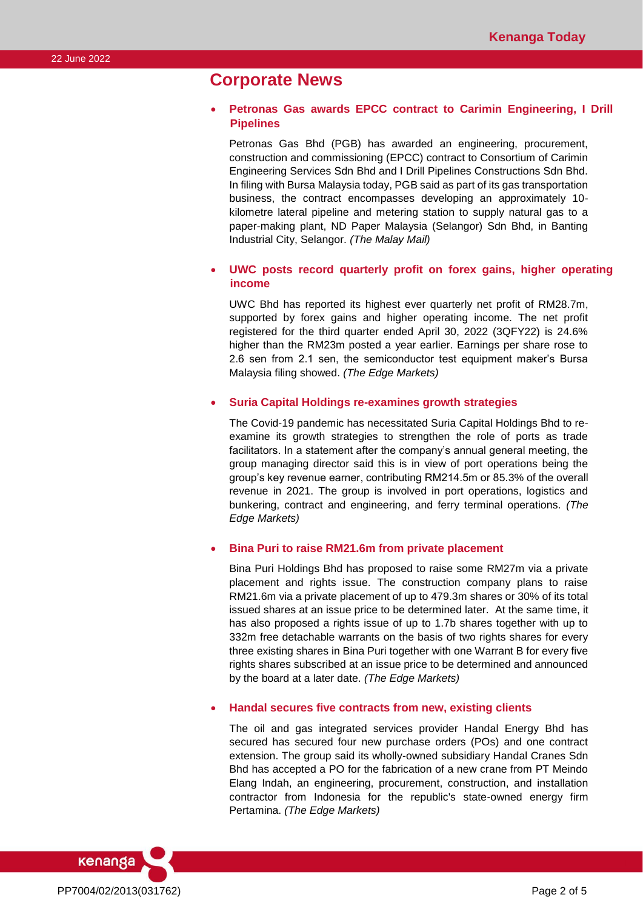### **Corporate News**

### • **Petronas Gas awards EPCC contract to Carimin Engineering, I Drill Pipelines**

Petronas Gas Bhd (PGB) has awarded an engineering, procurement, construction and commissioning (EPCC) contract to Consortium of Carimin Engineering Services Sdn Bhd and I Drill Pipelines Constructions Sdn Bhd. In filing with Bursa Malaysia today, PGB said as part of its gas transportation business, the contract encompasses developing an approximately 10 kilometre lateral pipeline and metering station to supply natural gas to a paper-making plant, ND Paper Malaysia (Selangor) Sdn Bhd, in Banting Industrial City, Selangor. *(The Malay Mail)*

### • **UWC posts record quarterly profit on forex gains, higher operating income**

UWC Bhd has reported its highest ever quarterly net profit of RM28.7m, supported by forex gains and higher operating income. The net profit registered for the third quarter ended April 30, 2022 (3QFY22) is 24.6% higher than the RM23m posted a year earlier. Earnings per share rose to 2.6 sen from 2.1 sen, the semiconductor test equipment maker's Bursa Malaysia filing showed. *(The Edge Markets)*

#### • **Suria Capital Holdings re-examines growth strategies**

The Covid-19 pandemic has necessitated Suria Capital Holdings Bhd to reexamine its growth strategies to strengthen the role of ports as trade facilitators. In a statement after the company's annual general meeting, the group managing director said this is in view of port operations being the group's key revenue earner, contributing RM214.5m or 85.3% of the overall revenue in 2021. The group is involved in port operations, logistics and bunkering, contract and engineering, and ferry terminal operations. *(The Edge Markets)*

### • **Bina Puri to raise RM21.6m from private placement**

Bina Puri Holdings Bhd has proposed to raise some RM27m via a private placement and rights issue. The construction company plans to raise RM21.6m via a private placement of up to 479.3m shares or 30% of its total issued shares at an issue price to be determined later. At the same time, it has also proposed a rights issue of up to 1.7b shares together with up to 332m free detachable warrants on the basis of two rights shares for every three existing shares in Bina Puri together with one Warrant B for every five rights shares subscribed at an issue price to be determined and announced by the board at a later date. *(The Edge Markets)*

#### • **Handal secures five contracts from new, existing clients**

The oil and gas integrated services provider Handal Energy Bhd has secured has secured four new purchase orders (POs) and one contract extension. The group said its wholly-owned subsidiary Handal Cranes Sdn Bhd has accepted a PO for the fabrication of a new crane from PT Meindo Elang Indah, an engineering, procurement, construction, and installation contractor from Indonesia for the republic's state-owned energy firm Pertamina. *(The Edge Markets)*

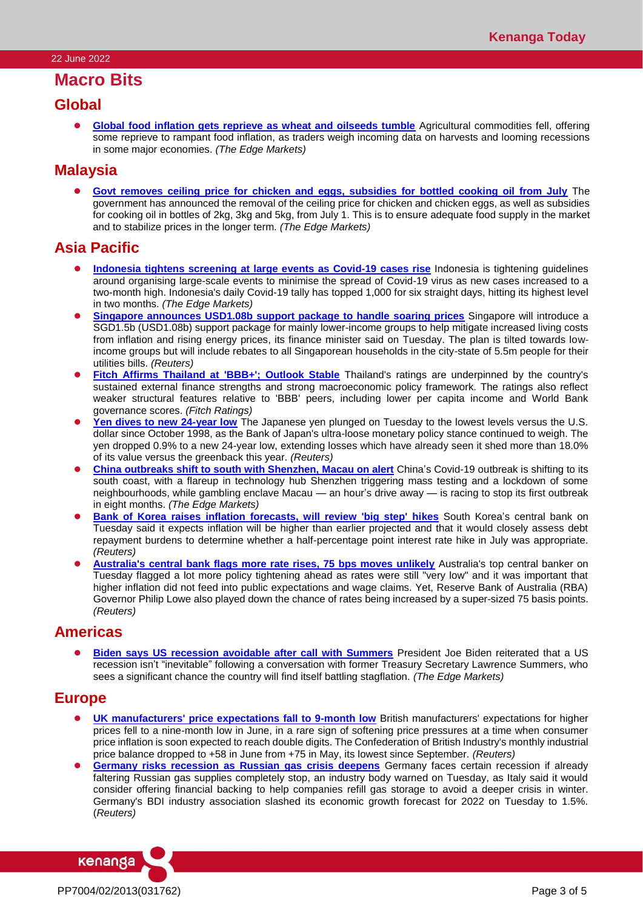### **Macro Bits**

### **Global**

⚫ **[Global food inflation gets reprieve as wheat and oilseeds tumble](https://www.theedgemarkets.com/article/global-food-inflation-gets-reprieve-wheat-palm-oil-tumble)** Agricultural commodities fell, offering some reprieve to rampant food inflation, as traders weigh incoming data on harvests and looming recessions in some major economies. *(The Edge Markets)*

### **Malaysia**

⚫ **[Govt removes ceiling price for chicken and eggs, subsidies for bottled cooking oil from July](https://www.theedgemarkets.com/article/malaysia-scrap-subsidies-some-cooking-oil-products)** The government has announced the removal of the ceiling price for chicken and chicken eggs, as well as subsidies for cooking oil in bottles of 2kg, 3kg and 5kg, from July 1. This is to ensure adequate food supply in the market and to stabilize prices in the longer term. *(The Edge Markets)*

### **Asia Pacific**

- ⚫ **Indonesia tightens screening [at large events as Covid-19 cases rise](https://www.theedgemarkets.com/article/indonesia-tightens-screening-large-events-covid19-cases-rise)** Indonesia is tightening guidelines around organising large-scale events to minimise the spread of Covid-19 virus as new cases increased to a two-month high. Indonesia's daily Covid-19 tally has topped 1,000 for six straight days, hitting its highest level in two months. *(The Edge Markets)*
- **[Singapore announces USD1.08b support package to handle soaring prices](https://www.reuters.com/markets/asia/singapore-provide-1-billion-support-package-low-income-groups-2022-06-21/)** Singapore will introduce a SGD1.5b (USD1.08b) support package for mainly lower-income groups to help mitigate increased living costs from inflation and rising energy prices, its finance minister said on Tuesday. The plan is tilted towards lowincome groups but will include rebates to all Singaporean households in the city-state of 5.5m people for their utilities bills. *(Reuters)*
- ⚫ **[Fitch Affirms Thailand at 'BBB+'; Outlook Stable](https://www.fitchratings.com/research/sovereigns/fitch-affirms-thailand-at-bbb-outlook-stable-21-06-2022)** Thailand's ratings are underpinned by the country's sustained external finance strengths and strong macroeconomic policy framework. The ratings also reflect weaker structural features relative to 'BBB' peers, including lower per capita income and World Bank governance scores. *(Fitch Ratings)*
- [Yen dives to new 24-year low](https://www.reuters.com/markets/us/aussie-dlr-edges-up-rba-reaffirms-more-hikes-ahead-yen-struggles-2022-06-21/) The Japanese yen plunged on Tuesday to the lowest levels versus the U.S. dollar since October 1998, as the Bank of Japan's ultra-loose monetary policy stance continued to weigh. The yen dropped 0.9% to a new 24-year low, extending losses which have already seen it shed more than 18.0% of its value versus the greenback this year. *(Reuters)*
- ⚫ **[China outbreaks shift to south with Shenzhen, Macau on alert](https://www.theedgemarkets.com/article/china-outbreaks-shift-south-shenzhen-macau-alert)** China's Covid-19 outbreak is shifting to its south coast, with a flareup in technology hub Shenzhen triggering mass testing and a lockdown of some neighbourhoods, while gambling enclave Macau — an hour's drive away — is racing to stop its first outbreak in eight months. *(The Edge Markets)*
- ⚫ **[Bank of Korea raises inflation forecasts, will review 'big step' hikes](https://www.reuters.com/article/southkorea-cenbank-inflation/bank-of-korea-raises-inflation-forecasts-will-review-big-step-hikes-idUSKBN2O200S)** South Korea's central bank on Tuesday said it expects inflation will be higher than earlier projected and that it would closely assess debt repayment burdens to determine whether a half-percentage point interest rate hike in July was appropriate. *(Reuters)*
- ⚫ **[Australia's central bank flags more rate rises, 75 bps moves unlikely](https://www.reuters.com/world/asia-pacific/australias-central-bank-flags-more-hikes-rates-still-very-low-2022-06-21/)** Australia's top central banker on Tuesday flagged a lot more policy tightening ahead as rates were still "very low" and it was important that higher inflation did not feed into public expectations and wage claims. Yet, Reserve Bank of Australia (RBA) Governor Philip Lowe also played down the chance of rates being increased by a super-sized 75 basis points. *(Reuters)*

### **Americas**

**[Biden says US recession avoidable after call with Summers](https://www.theedgemarkets.com/article/biden-says-us-recession-avoidable-after-call-summers)** President Joe Biden reiterated that a US recession isn't "inevitable" following a conversation with former Treasury Secretary Lawrence Summers, who sees a significant chance the country will find itself battling stagflation. *(The Edge Markets)*

### **Europe**

- **[UK manufacturers' price expectations fall to 9-month low](https://www.reuters.com/markets/europe/uk-manufacturers-price-expectations-fall-9-month-low-cbi-2022-06-21/) British manufacturers' expectations for higher** prices fell to a nine-month low in June, in a rare sign of softening price pressures at a time when consumer price inflation is soon expected to reach double digits. The Confederation of British Industry's monthly industrial price balance dropped to +58 in June from +75 in May, its lowest since September. *(Reuters)*
- ⚫ **[Germany risks recession as Russian gas crisis deepens](https://www.reuters.com/markets/europe/germany-risks-recession-russian-gas-crisis-deepens-2022-06-21/)** Germany faces certain recession if already faltering Russian gas supplies completely stop, an industry body warned on Tuesday, as Italy said it would consider offering financial backing to help companies refill gas storage to avoid a deeper crisis in winter. Germany's BDI industry association slashed its economic growth forecast for 2022 on Tuesday to 1.5%. (*Reuters)*

PP7004/02/2013(031762) Page 3 of 5

kenanga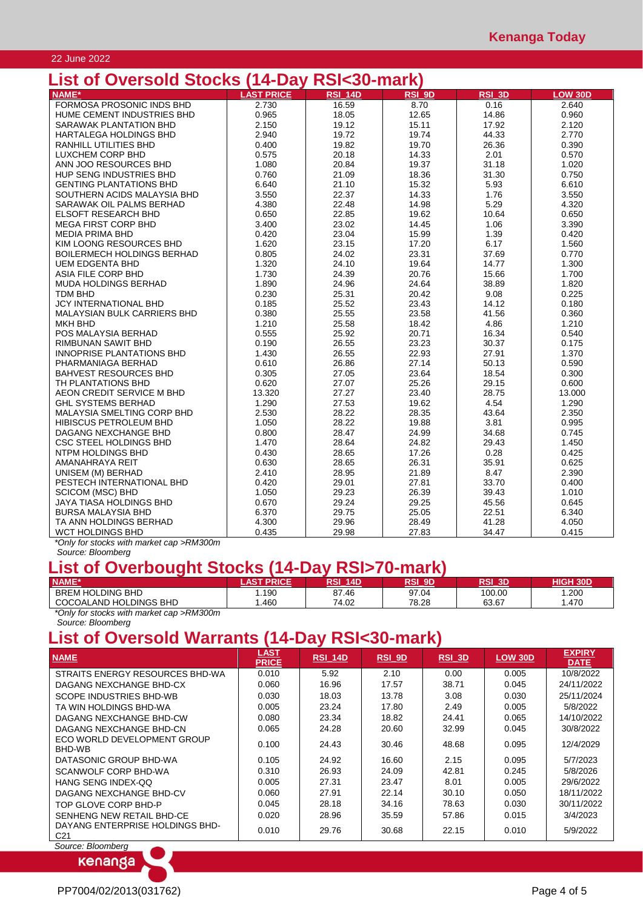### 22 June 2022

## **List of Oversold Stocks (14-Day RSI<30-mark)**

| LIJL VI<br><b>OVUJORU OLOGNO</b>  | $1 + Lu$          | וואווו טטרוטוו |        |        |                |
|-----------------------------------|-------------------|----------------|--------|--------|----------------|
| NAME*                             | <b>LAST PRICE</b> | <b>RSI 14D</b> | RSI 9D | RSI_3D | <b>LOW 30D</b> |
| FORMOSA PROSONIC INDS BHD         | 2.730             | 16.59          | 8.70   | 0.16   | 2.640          |
| HUME CEMENT INDUSTRIES BHD        | 0.965             | 18.05          | 12.65  | 14.86  | 0.960          |
| <b>SARAWAK PLANTATION BHD</b>     | 2.150             | 19.12          | 15.11  | 17.92  | 2.120          |
| <b>HARTALEGA HOLDINGS BHD</b>     | 2.940             | 19.72          | 19.74  | 44.33  | 2.770          |
| RANHILL UTILITIES BHD             | 0.400             | 19.82          | 19.70  | 26.36  | 0.390          |
| LUXCHEM CORP BHD                  | 0.575             | 20.18          | 14.33  | 2.01   | 0.570          |
| ANN JOO RESOURCES BHD             | 1.080             | 20.84          | 19.37  | 31.18  | 1.020          |
| HUP SENG INDUSTRIES BHD           | 0.760             | 21.09          | 18.36  | 31.30  | 0.750          |
| <b>GENTING PLANTATIONS BHD</b>    | 6.640             | 21.10          | 15.32  | 5.93   | 6.610          |
| SOUTHERN ACIDS MALAYSIA BHD       | 3.550             | 22.37          | 14.33  | 1.76   | 3.550          |
| SARAWAK OIL PALMS BERHAD          | 4.380             | 22.48          | 14.98  | 5.29   | 4.320          |
| <b>ELSOFT RESEARCH BHD</b>        | 0.650             | 22.85          | 19.62  | 10.64  | 0.650          |
| <b>MEGA FIRST CORP BHD</b>        | 3.400             | 23.02          | 14.45  | 1.06   | 3.390          |
| <b>MEDIA PRIMA BHD</b>            | 0.420             | 23.04          | 15.99  | 1.39   | 0.420          |
| KIM LOONG RESOURCES BHD           | 1.620             | 23.15          | 17.20  | 6.17   | 1.560          |
| <b>BOILERMECH HOLDINGS BERHAD</b> | 0.805             | 24.02          | 23.31  | 37.69  | 0.770          |
| <b>UEM EDGENTA BHD</b>            | 1.320             | 24.10          | 19.64  | 14.77  | 1.300          |
| ASIA FILE CORP BHD                | 1.730             | 24.39          | 20.76  | 15.66  | 1.700          |
| MUDA HOLDINGS BERHAD              | 1.890             | 24.96          | 24.64  | 38.89  | 1.820          |
| <b>TDM BHD</b>                    | 0.230             | 25.31          | 20.42  | 9.08   | 0.225          |
| <b>JCY INTERNATIONAL BHD</b>      | 0.185             | 25.52          | 23.43  | 14.12  | 0.180          |
| MALAYSIAN BULK CARRIERS BHD       | 0.380             | 25.55          | 23.58  | 41.56  | 0.360          |
| <b>MKH BHD</b>                    | 1.210             | 25.58          | 18.42  | 4.86   | 1.210          |
| POS MALAYSIA BERHAD               | 0.555             | 25.92          | 20.71  | 16.34  | 0.540          |
| RIMBUNAN SAWIT BHD                | 0.190             | 26.55          | 23.23  | 30.37  | 0.175          |
| <b>INNOPRISE PLANTATIONS BHD</b>  | 1.430             | 26.55          | 22.93  | 27.91  | 1.370          |
| PHARMANIAGA BERHAD                | 0.610             | 26.86          | 27.14  | 50.13  | 0.590          |
| <b>BAHVEST RESOURCES BHD</b>      | 0.305             | 27.05          | 23.64  | 18.54  | 0.300          |
| TH PLANTATIONS BHD                | 0.620             | 27.07          | 25.26  | 29.15  | 0.600          |
| AEON CREDIT SERVICE M BHD         | 13.320            | 27.27          | 23.40  | 28.75  | 13.000         |
| <b>GHL SYSTEMS BERHAD</b>         | 1.290             | 27.53          | 19.62  | 4.54   | 1.290          |
| MALAYSIA SMELTING CORP BHD        | 2.530             | 28.22          | 28.35  | 43.64  | 2.350          |
| HIBISCUS PETROLEUM BHD            | 1.050             | 28.22          | 19.88  | 3.81   | 0.995          |
| DAGANG NEXCHANGE BHD              | 0.800             | 28.47          | 24.99  | 34.68  | 0.745          |
| CSC STEEL HOLDINGS BHD            | 1.470             | 28.64          | 24.82  | 29.43  | 1.450          |
| NTPM HOLDINGS BHD                 | 0.430             | 28.65          | 17.26  | 0.28   | 0.425          |
| AMANAHRAYA REIT                   | 0.630             | 28.65          | 26.31  | 35.91  | 0.625          |
| UNISEM (M) BERHAD                 | 2.410             | 28.95          | 21.89  | 8.47   | 2.390          |
| PESTECH INTERNATIONAL BHD         | 0.420             | 29.01          | 27.81  | 33.70  | 0.400          |
| <b>SCICOM (MSC) BHD</b>           | 1.050             | 29.23          | 26.39  | 39.43  | 1.010          |
| JAYA TIASA HOLDINGS BHD           | 0.670             | 29.24          | 29.25  | 45.56  | 0.645          |
| <b>BURSA MALAYSIA BHD</b>         | 6.370             | 29.75          | 25.05  | 22.51  | 6.340          |
| TA ANN HOLDINGS BERHAD            | 4.300             | 29.96          | 28.49  | 41.28  | 4.050          |
| WCT HOLDINGS BHD                  | 0.435             | 29.98          | 27.83  | 34.47  | 0.415          |

*\*Only for stocks with market cap >RM300m Source: Bloomberg*

### **List of Overbought Stocks (14-Day RSI>70-mark)**

| ואוווו ט זישור זשע דון טווטטוס משמעת של הטוב |                            |            |               |         |                 |
|----------------------------------------------|----------------------------|------------|---------------|---------|-----------------|
| NAME*                                        | <b>AST</b><br><b>PRICE</b> | RSI<br>14D | <b>RSI 9D</b> | RSI 3D' | <b>HIGH 30D</b> |
| <b>BREM HOLDING BHD</b>                      | .190                       | 87.46      | 97.04         | 100.00  | .200            |
| COCOALAND HOLDINGS BHD                       | .460                       | 74.02      | 78.28         | 63.67   | .470            |
| .<br>_ _ _ _ _ _<br>$\cdots$                 |                            |            |               |         |                 |

*\*Only for stocks with market cap >RM300m*

#### *Source: Bloomberg*

# **List of Oversold Warrants (14-Day RSI<30-mark)**

| <b>NAME</b>                                        | <b>LAST</b><br><b>PRICE</b> | <b>RSI_14D</b> | $RSI$ 9D | RSI_3D | <b>LOW 30D</b> | <b>EXPIRY</b><br><b>DATE</b> |
|----------------------------------------------------|-----------------------------|----------------|----------|--------|----------------|------------------------------|
| STRAITS ENERGY RESOURCES BHD-WA                    | 0.010                       | 5.92           | 2.10     | 0.00   | 0.005          | 10/8/2022                    |
| DAGANG NEXCHANGE BHD-CX                            | 0.060                       | 16.96          | 17.57    | 38.71  | 0.045          | 24/11/2022                   |
| SCOPE INDUSTRIES BHD-WB                            | 0.030                       | 18.03          | 13.78    | 3.08   | 0.030          | 25/11/2024                   |
| TA WIN HOLDINGS BHD-WA                             | 0.005                       | 23.24          | 17.80    | 2.49   | 0.005          | 5/8/2022                     |
| DAGANG NEXCHANGE BHD-CW                            | 0.080                       | 23.34          | 18.82    | 24.41  | 0.065          | 14/10/2022                   |
| DAGANG NEXCHANGE BHD-CN                            | 0.065                       | 24.28          | 20.60    | 32.99  | 0.045          | 30/8/2022                    |
| ECO WORLD DEVELOPMENT GROUP<br>BHD-WB              | 0.100                       | 24.43          | 30.46    | 48.68  | 0.095          | 12/4/2029                    |
| DATASONIC GROUP BHD-WA                             | 0.105                       | 24.92          | 16.60    | 2.15   | 0.095          | 5/7/2023                     |
| SCANWOLF CORP BHD-WA                               | 0.310                       | 26.93          | 24.09    | 42.81  | 0.245          | 5/8/2026                     |
| HANG SENG INDEX-OO                                 | 0.005                       | 27.31          | 23.47    | 8.01   | 0.005          | 29/6/2022                    |
| DAGANG NEXCHANGE BHD-CV                            | 0.060                       | 27.91          | 22.14    | 30.10  | 0.050          | 18/11/2022                   |
| TOP GLOVE CORP BHD-P                               | 0.045                       | 28.18          | 34.16    | 78.63  | 0.030          | 30/11/2022                   |
| SENHENG NEW RETAIL BHD-CE                          | 0.020                       | 28.96          | 35.59    | 57.86  | 0.015          | 3/4/2023                     |
| DAYANG ENTERPRISE HOLDINGS BHD-<br>C <sub>21</sub> | 0.010                       | 29.76          | 30.68    | 22.15  | 0.010          | 5/9/2022                     |

*Source: Bloomberg*

kenanga